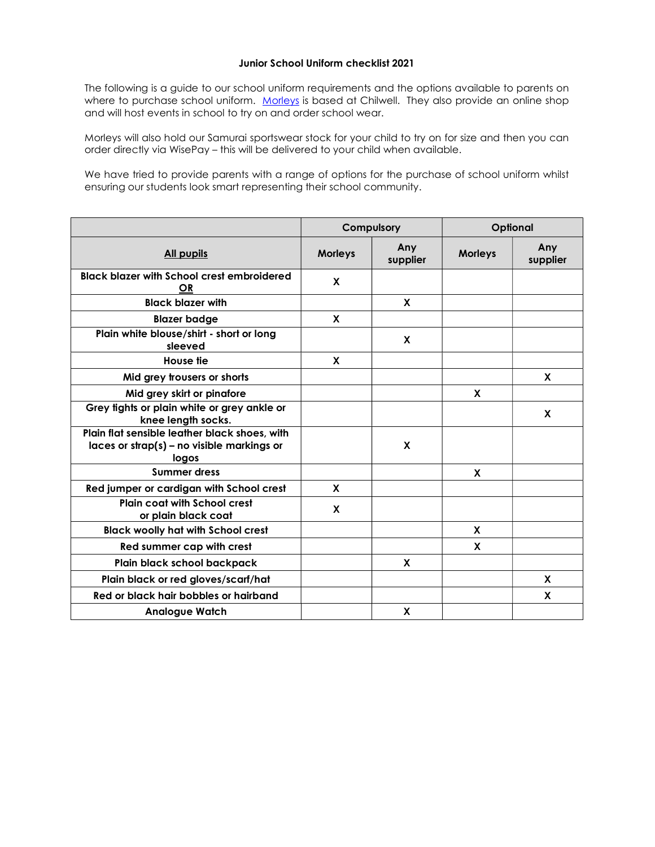## Junior School Uniform checklist 2021

The following is a guide to our school uniform requirements and the options available to parents on where to purchase school uniform. Morleys is based at Chilwell. They also provide an online shop and will host events in school to try on and order school wear.

Morleys will also hold our Samurai sportswear stock for your child to try on for size and then you can order directly via WisePay – this will be delivered to your child when available.

We have tried to provide parents with a range of options for the purchase of school uniform whilst ensuring our students look smart representing their school community.

|                                                                                                          | Compulsory     |                 | Optional       |                 |
|----------------------------------------------------------------------------------------------------------|----------------|-----------------|----------------|-----------------|
| <b>All pupils</b>                                                                                        | <b>Morleys</b> | Any<br>supplier | <b>Morleys</b> | Any<br>supplier |
| <b>Black blazer with School crest embroidered</b><br>OR                                                  | X              |                 |                |                 |
| <b>Black blazer with</b>                                                                                 |                | X               |                |                 |
| <b>Blazer badge</b>                                                                                      | X              |                 |                |                 |
| Plain white blouse/shirt - short or long<br>sleeved                                                      |                | X               |                |                 |
| House tie                                                                                                | X              |                 |                |                 |
| Mid grey trousers or shorts                                                                              |                |                 |                | <b>X</b>        |
| Mid grey skirt or pinafore                                                                               |                |                 | X              |                 |
| Grey tights or plain white or grey ankle or<br>knee length socks.                                        |                |                 |                | X               |
| Plain flat sensible leather black shoes, with<br>$laces$ or $strap(s)$ – no visible markings or<br>logos |                | X               |                |                 |
| <b>Summer dress</b>                                                                                      |                |                 | X              |                 |
| Red jumper or cardigan with School crest                                                                 | X              |                 |                |                 |
| <b>Plain coat with School crest</b><br>or plain black coat                                               | X              |                 |                |                 |
| <b>Black woolly hat with School crest</b>                                                                |                |                 | X              |                 |
| Red summer cap with crest                                                                                |                |                 | X              |                 |
| Plain black school backpack                                                                              |                | X               |                |                 |
| Plain black or red gloves/scarf/hat                                                                      |                |                 |                | X               |
| Red or black hair bobbles or hairband                                                                    |                |                 |                | X               |
| <b>Analogue Watch</b>                                                                                    |                | X               |                |                 |